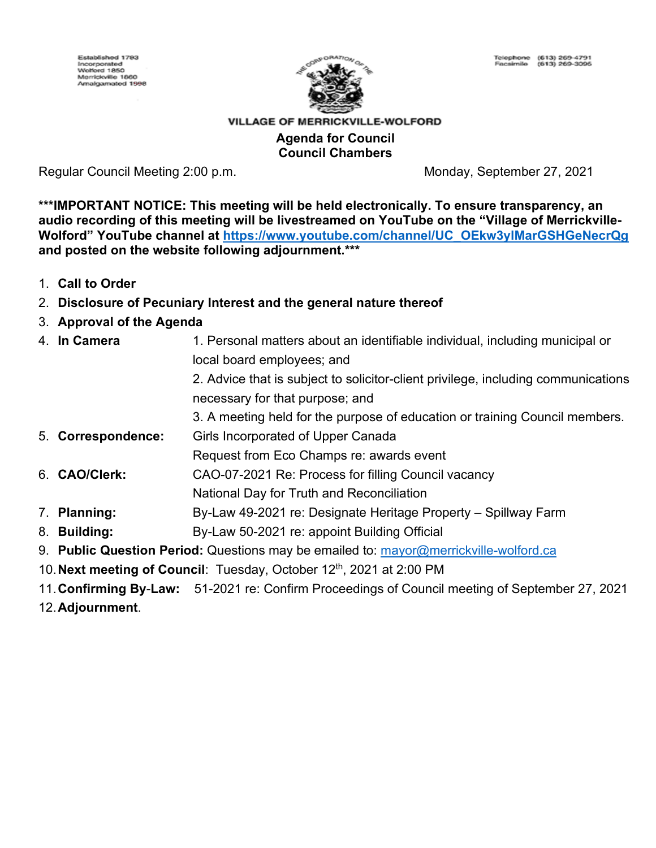

### VILLAGE OF MERRICKVILLE-WOLFORD **Agenda for Council Council Chambers**

Regular Council Meeting 2:00 p.m. Monday, September 27, 2021

**\*\*\*IMPORTANT NOTICE: This meeting will be held electronically. To ensure transparency, an audio recording of this meeting will be livestreamed on YouTube on the "Village of Merrickville-Wolford" YouTube channel at [https://www.youtube.com/channel/UC\\_OEkw3ylMarGSHGeNecrQg](https://www.youtube.com/channel/UC_OEkw3ylMarGSHGeNecrQg) and posted on the website following adjournment.\*\*\***

- 1. **Call to Order**
- 2. **Disclosure of Pecuniary Interest and the general nature thereof**
- 3. **Approval of the Agenda**
- 4. **In Camera** 1. Personal matters about an identifiable individual, including municipal or local board employees; and 2. Advice that is subject to solicitor-client privilege, including communications necessary for that purpose; and 3. A meeting held for the purpose of education or training Council members. 5. **Correspondence:** Girls Incorporated of Upper Canada Request from Eco Champs re: awards event 6. **CAO/Clerk:** CAO-07-2021 Re: Process for filling Council vacancy National Day for Truth and Reconciliation 7. **Planning:** By-Law 49-2021 re: Designate Heritage Property – Spillway Farm 8. **Building:** By-Law 50-2021 re: appoint Building Official 9. **Public Question Period:** Questions may be emailed to: [mayor@merrickville-wolford.ca](mailto:mayor@merrickville-wolford.ca)
- 10. Next meeting of Council: Tuesday, October 12<sup>th</sup>, 2021 at 2:00 PM
- 11.**Confirming By**-**Law:** 51-2021 re: Confirm Proceedings of Council meeting of September 27, 2021
- 12.**Adjournment**.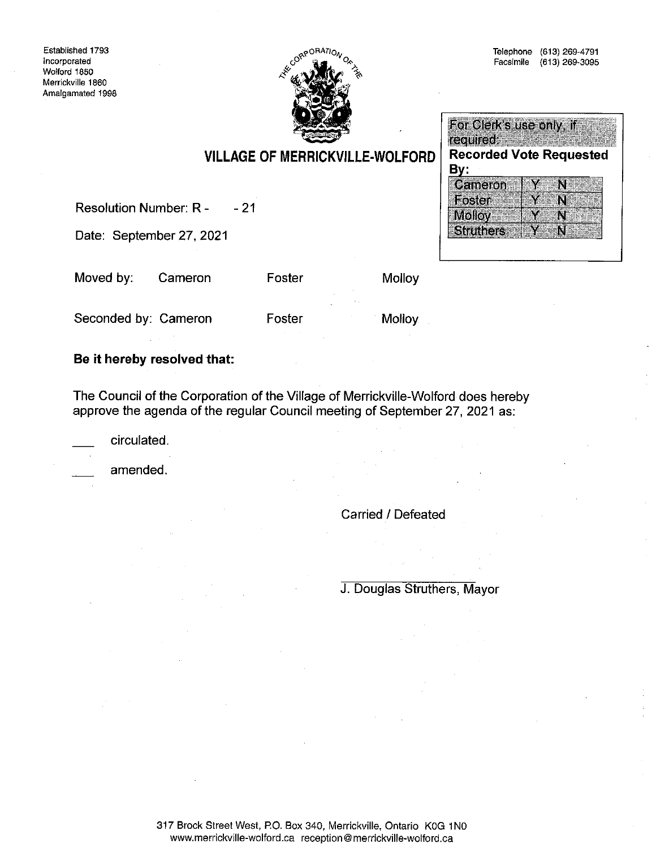Established 1793 Incorporated Wolford 1850 Merrickville 1860 Amalgamated 1998



| For Clerk's use only, if       |                  |  |  |
|--------------------------------|------------------|--|--|
| required:                      |                  |  |  |
| <b>Recorded Vote Requested</b> |                  |  |  |
| By.                            |                  |  |  |
| Cameron                        |                  |  |  |
| Foster                         |                  |  |  |
| Molloy                         |                  |  |  |
|                                | <b>Struthers</b> |  |  |

# **VILLAGE OF MERRICKVILLE-WOLFORD**

**Resolution Number: R -** $-21$ 

Date: September 27, 2021

Moved by: Cameron Foster

Molloy

Seconded by: Cameron

Foster

**Molloy** 

### Be it hereby resolved that:

The Council of the Corporation of the Village of Merrickville-Wolford does hereby approve the agenda of the regular Council meeting of September 27, 2021 as:

circulated.

amended.

Carried / Defeated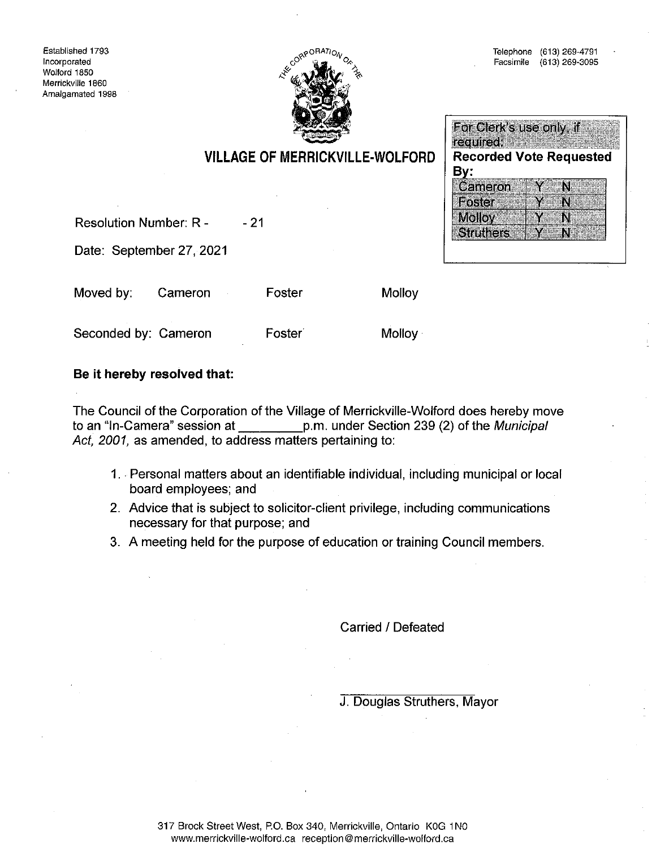

### For Clerk's use only, if required; **With the State of State 1999 Recorded Vote Requested** By: Cameron N N. Foster Υ **Molloy** Y  $\mathbf{N}$ **Struthers** N,

**VILLAGE OF MERRICKVILLE-WOLFORD** 

**Resolution Number: R -** $-21$ 

Date: September 27, 2021

Moved by: Cameron Foster

Seconded by: Cameron

Foster

**Molloy** 

Molloy

## Be it hereby resolved that:

The Council of the Corporation of the Village of Merrickville-Wolford does hereby move to an "In-Camera" session at p.m. under Section 239 (2) of the Municipal Act, 2001, as amended, to address matters pertaining to:

- 1. Personal matters about an identifiable individual, including municipal or local board employees; and
- 2. Advice that is subject to solicitor-client privilege, including communications necessary for that purpose; and
- 3. A meeting held for the purpose of education or training Council members.

Carried / Defeated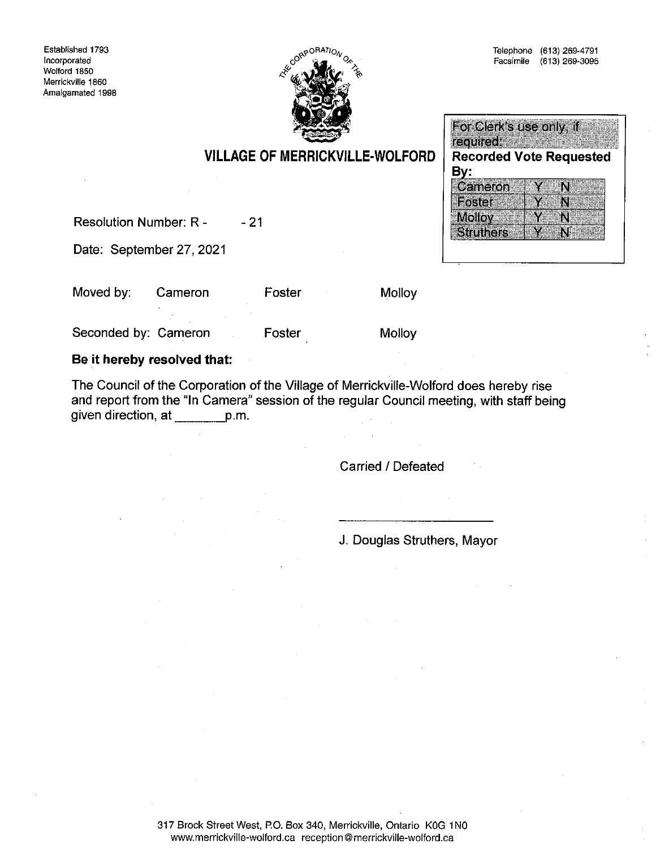

**VILLAGE OF MERRICKVILLE-WOLFORD** 

|        | For Clerk's use only, if       |  |  |
|--------|--------------------------------|--|--|
|        | required.                      |  |  |
|        | <b>Recorded Vote Requested</b> |  |  |
| By:    |                                |  |  |
|        | Cameron                        |  |  |
| Foster |                                |  |  |
|        |                                |  |  |
| Molloy |                                |  |  |

**Resolution Number: R -** $-21$ 

Date: September 27, 2021

Moved by: Cameron Foster Molloy

Foster

Seconded by: Cameron

Be it hereby resolved that:

The Council of the Corporation of the Village of Merrickville-Wolford does hereby rise and report from the "In Camera" session of the regular Council meeting, with staff being given direction, at \_\_\_\_\_\_\_\_ p.m.

**Carried / Defeated** 

Molloy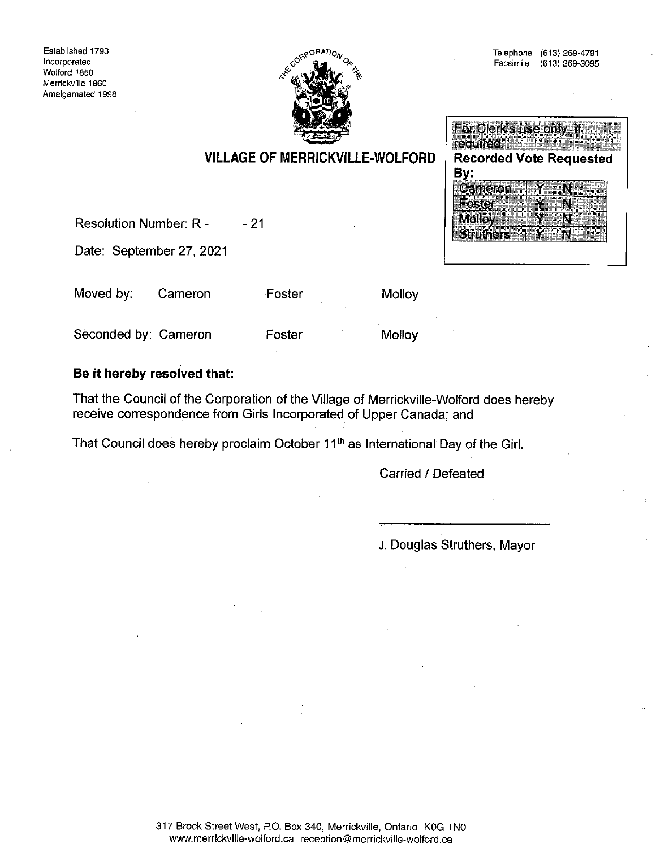

#### For Clerk's use only, if required: **Recorded Vote Requested** By: Cameron Y  $\mathbf{M}$ Foster Y N Molloy  $\overline{\mathbf{N}}$ Y **Struthers** N.

**VILLAGE OF MERRICKVILLE-WOLFORD** 

**Resolution Number: R -** $-21$ 

Date: September 27, 2021

Moved by: Cameron

Foster

Molloy

Seconded by: Cameron

Foster

Molloy

### Be it hereby resolved that:

That the Council of the Corporation of the Village of Merrickville-Wolford does hereby receive correspondence from Girls Incorporated of Upper Canada; and

That Council does hereby proclaim October 11<sup>th</sup> as International Day of the Girl.

**Carried / Defeated**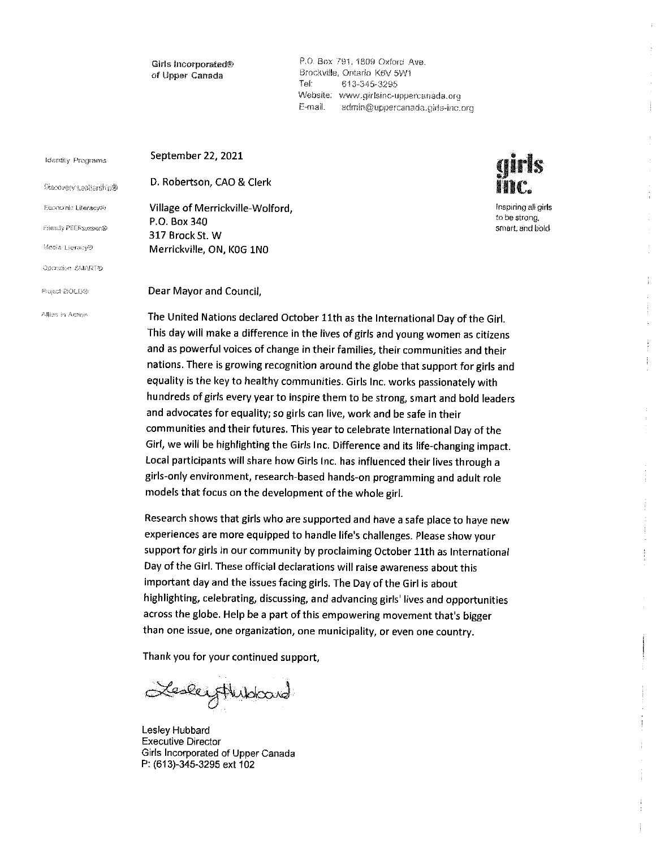Girls Incorporated® of Upper Canada

P.O. Box 791, 1809 Oxford Ave. Brockville, Ontario K6V 5W1 Tet 613-345-3295 Website: www.girlsinc-uppercanada.org E-mail: admin@uppercanada.girls-inc.org

ands

Inspiring all girls to be strong. smart, and bold

÷,

 $\frac{1}{2}$ 

ł.

 $\begin{array}{c} \begin{array}{c} \begin{array}{c} \begin{array}{c} \end{array} \\ \begin{array}{c} \end{array} \end{array} \end{array} \end{array}$ 

| <b>Identity Programs</b>     | September 22, 2021                                                       |
|------------------------------|--------------------------------------------------------------------------|
| Discovery Leadership®        | D. Robertson, CAO & Clerk                                                |
| Economic Literacy®           | Village of Merrickville-Wolford,                                         |
| <b>Friendly PEERsuasion®</b> | P.O. Box 340                                                             |
|                              | 317 Brock St. W                                                          |
| Mcdia Literacy®              | Merrickville, ON, KOG 1NO                                                |
| Operation SMART®             |                                                                          |
| Project BOLD®                | Dear Mayor and Council,                                                  |
| Allies in Action             | The United Nations declared October 11th as the International Dav of the |

The United Nations declared October 11th as the International Day of the Girl. This day will make a difference in the lives of girls and young women as citizens and as powerful voices of change in their families, their communities and their nations. There is growing recognition around the globe that support for girls and equality is the key to healthy communities. Girls Inc. works passionately with hundreds of girls every year to inspire them to be strong, smart and bold leaders and advocates for equality; so girls can live, work and be safe in their communities and their futures. This year to celebrate International Day of the Girl, we will be highlighting the Girls Inc. Difference and its life-changing impact. Local participants will share how Girls Inc. has influenced their lives through a girls-only environment, research-based hands-on programming and adult role models that focus on the development of the whole girl.

Research shows that girls who are supported and have a safe place to have new experiences are more equipped to handle life's challenges. Please show your support for girls in our community by proclaiming October 11th as International Day of the Girl. These official declarations will raise awareness about this important day and the issues facing girls. The Day of the Girl is about highlighting, celebrating, discussing, and advancing girls' lives and opportunities across the globe. Help be a part of this empowering movement that's bigger than one issue, one organization, one municipality, or even one country.

Thank you for your continued support,

Lesleytheboard

Lesley Hubbard **Executive Director** Girls Incorporated of Upper Canada P: (613)-345-3295 ext 102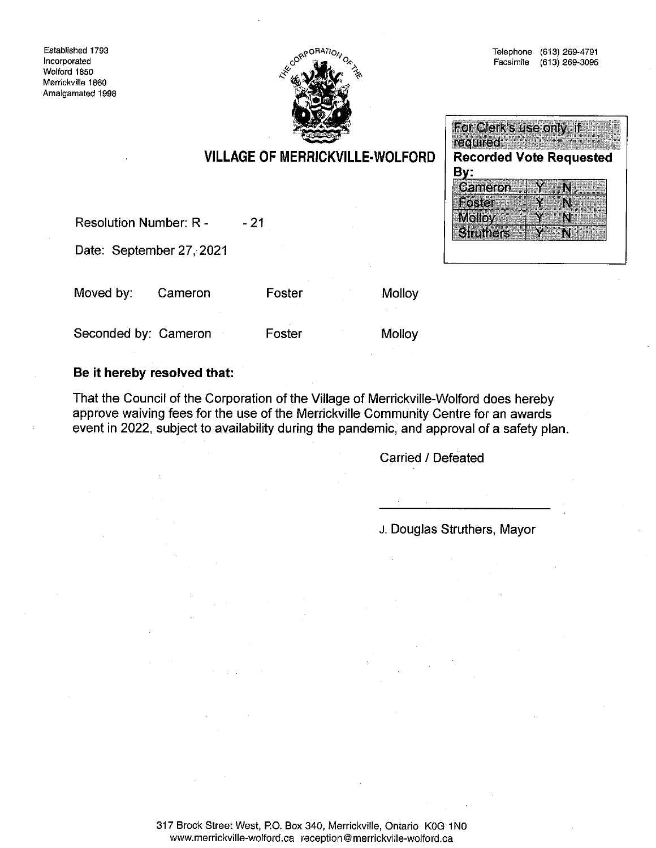Established 1793 Incorporated Wolford 1850 Merrickville 1860 Amalgamated 1998



For Clerk's use only, if required: www.wa

By:

Cameron

**Struthers** 

Foster

**Molloy** 

**Recorded Vote Requested** 

Y

Y

N

N

N

N.

## **VILLAGE OF MERRICKVILLE-WOLFORD**

Resolution Number: R - $-21$ 

Date: September 27, 2021

Moved by: Cameron Foster

**Molloy** 

Seconded by: Cameron

Foster

Molloy

### Be it hereby resolved that:

That the Council of the Corporation of the Village of Merrickville-Wolford does hereby approve waiving fees for the use of the Merrickville Community Centre for an awards event in 2022, subject to availability during the pandemic, and approval of a safety plan.

Carried / Defeated

J. Douglas Struthers, Mayor

317 Brock Street West, P.O. Box 340, Merrickville, Ontario K0G 1N0 www.merrickville-wolford.ca reception@merrickville-wolford.ca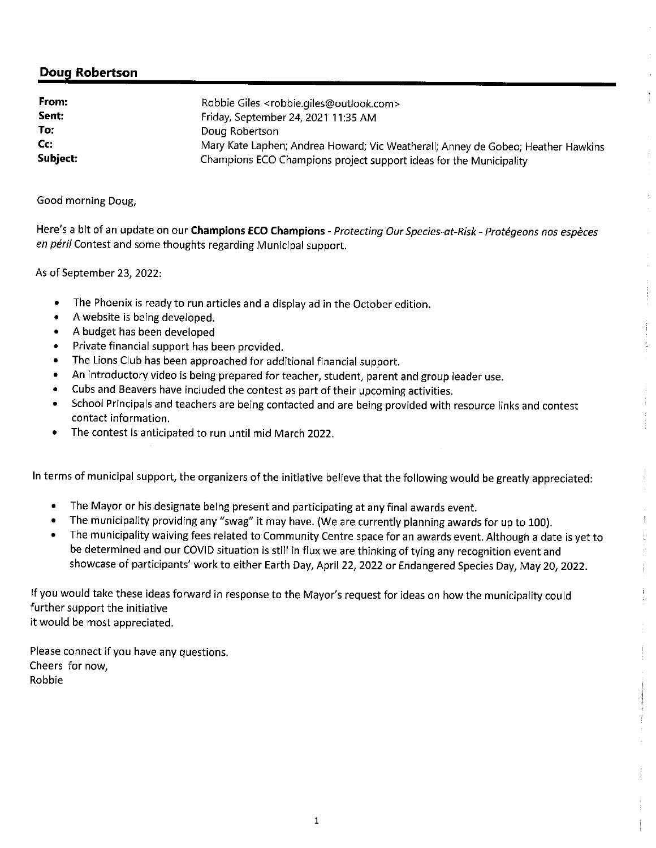## **Doug Robertson**

| From:    | Robbie Giles <robbie.giles@outlook.com></robbie.giles@outlook.com>               |
|----------|----------------------------------------------------------------------------------|
| Sent:    | Friday, September 24, 2021 11:35 AM                                              |
| To:      | Doug Robertson                                                                   |
| Cc:      | Mary Kate Laphen; Andrea Howard; Vic Weatherall; Anney de Gobeo; Heather Hawkins |
| Subject: | Champions ECO Champions project support ideas for the Municipality               |

Good morning Doug,

Here's a bit of an update on our Champions ECO Champions - Protecting Our Species-at-Risk - Protégeons nos espèces en péril Contest and some thoughts regarding Municipal support.

As of September 23, 2022:

- $\bullet$ The Phoenix is ready to run articles and a display ad in the October edition.
- A website is being developed.
- A budget has been developed
- Private financial support has been provided.
- The Lions Club has been approached for additional financial support.  $\bullet$
- $\bullet$ An introductory video is being prepared for teacher, student, parent and group leader use.
- $\bullet$ Cubs and Beavers have included the contest as part of their upcoming activities.
- School Principals and teachers are being contacted and are being provided with resource links and contest  $\bullet$ contact information.
- The contest is anticipated to run until mid March 2022.

In terms of municipal support, the organizers of the initiative believe that the following would be greatly appreciated:

- $\bullet$ The Mayor or his designate being present and participating at any final awards event.
- The municipality providing any "swag" it may have. (We are currently planning awards for up to 100).
- The municipality waiving fees related to Community Centre space for an awards event. Although a date is yet to be determined and our COVID situation is still in flux we are thinking of tying any recognition event and showcase of participants' work to either Earth Day, April 22, 2022 or Endangered Species Day, May 20, 2022.

If you would take these ideas forward in response to the Mayor's request for ideas on how the municipality could further support the initiative it would be most appreciated.

Please connect if you have any questions. Cheers for now, Robbie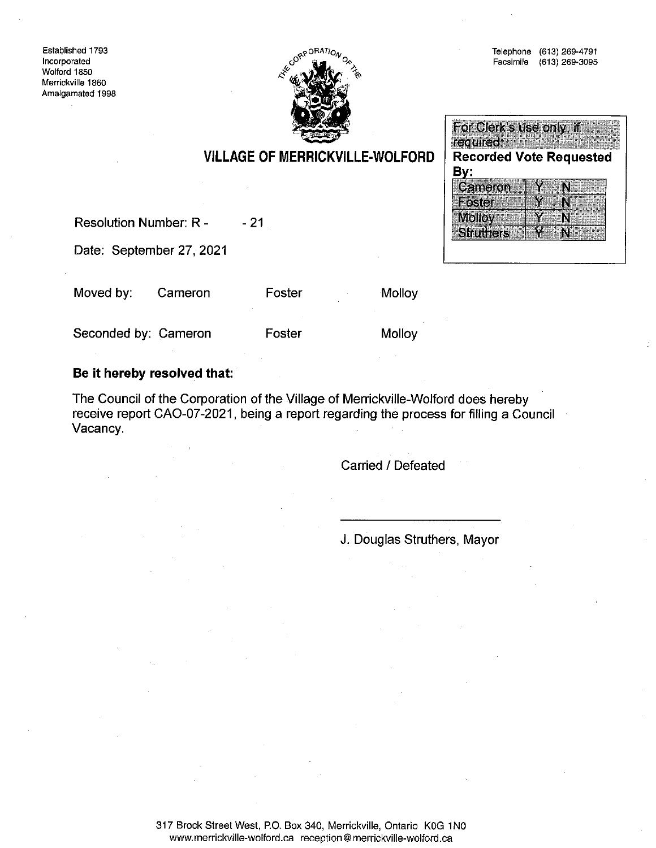Established 1793 Incorporated Wolford 1850 Merrickville 1860 Amalgamated 1998



For Clerk's use only, if required: **Recorded Vote Requested** <u>By:</u> Cameron Y N Foster Y N Molloy & Y  $\mathbf N$ **Struthers** N

## **VILLAGE OF MERRICKVILLE-WOLFORD**

**Resolution Number: R -** $-21$ 

Date: September 27, 2021

Moved by: Cameron Foster

Molloy

Seconded by: Cameron

Foster

**Molloy** 

### Be it hereby resolved that:

The Council of the Corporation of the Village of Merrickville-Wolford does hereby receive report CAO-07-2021, being a report regarding the process for filling a Council Vacancy.

Carried / Defeated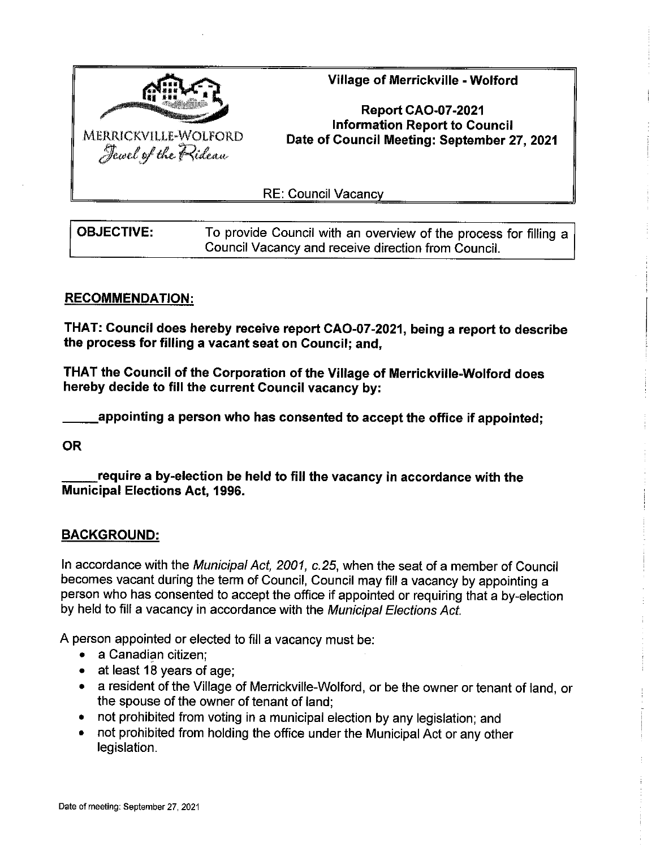

Village of Merrickville - Wolford

**Report CAO-07-2021 Information Report to Council** Date of Council Meeting: September 27, 2021

**RE: Council Vacancy** 

| <b>OBJECTIVE:</b> | To provide Council with an overview of the process for filling a |
|-------------------|------------------------------------------------------------------|
|                   | Council Vacancy and receive direction from Council.              |

### **RECOMMENDATION:**

THAT: Council does hereby receive report CAO-07-2021, being a report to describe the process for filling a vacant seat on Council; and,

THAT the Council of the Corporation of the Village of Merrickville-Wolford does hereby decide to fill the current Council vacancy by:

appointing a person who has consented to accept the office if appointed:

**OR** 

require a by-election be held to fill the vacancy in accordance with the **Municipal Elections Act, 1996.** 

### **BACKGROUND:**

In accordance with the Municipal Act, 2001, c.25, when the seat of a member of Council becomes vacant during the term of Council, Council may fill a vacancy by appointing a person who has consented to accept the office if appointed or requiring that a by-election by held to fill a vacancy in accordance with the Municipal Elections Act.

A person appointed or elected to fill a vacancy must be:

- a Canadian citizen:
- $\bullet$  at least 18 years of age;
- a resident of the Village of Merrickville-Wolford, or be the owner or tenant of land, or the spouse of the owner of tenant of land;
- not prohibited from voting in a municipal election by any legislation; and
- not prohibited from holding the office under the Municipal Act or any other legislation.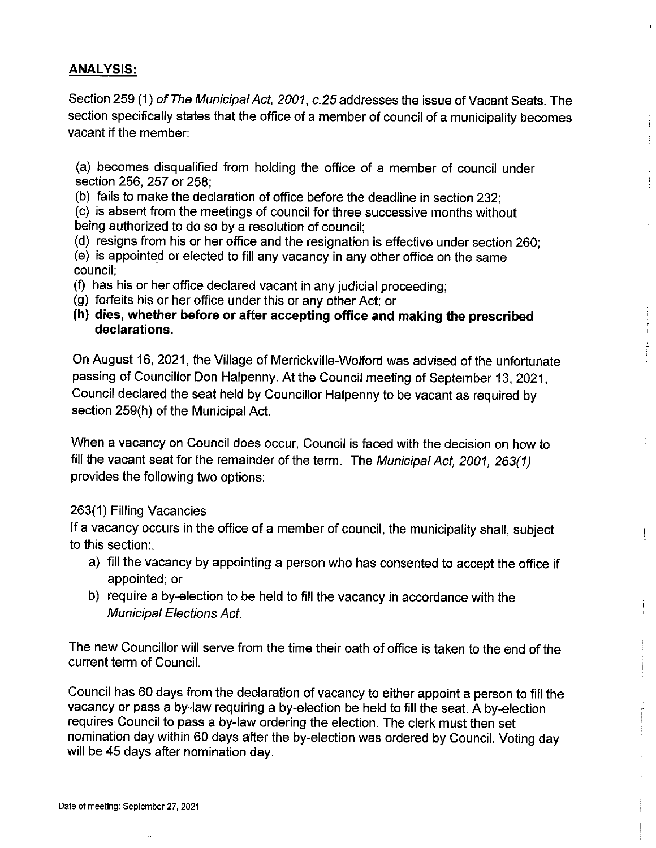## **ANALYSIS:**

Section 259 (1) of The Municipal Act, 2001, c.25 addresses the issue of Vacant Seats. The section specifically states that the office of a member of council of a municipality becomes vacant if the member:

(a) becomes disqualified from holding the office of a member of council under section 256, 257 or 258;

(b) fails to make the declaration of office before the deadline in section 232;

(c) is absent from the meetings of council for three successive months without being authorized to do so by a resolution of council;

(d) resigns from his or her office and the resignation is effective under section 260; (e) is appointed or elected to fill any vacancy in any other office on the same council;

(f) has his or her office declared vacant in any judicial proceeding;

- (g) forfeits his or her office under this or any other Act; or
- (h) dies, whether before or after accepting office and making the prescribed declarations.

On August 16, 2021, the Village of Merrickville-Wolford was advised of the unfortunate passing of Councillor Don Halpenny. At the Council meeting of September 13, 2021, Council declared the seat held by Councillor Halpenny to be vacant as required by section 259(h) of the Municipal Act.

上手

 $\begin{array}{c} \mathbf{i} \\ \mathbf{j} \\ \mathbf{k} \end{array}$ 

 $\frac{1}{1}$ 

When a vacancy on Council does occur, Council is faced with the decision on how to fill the vacant seat for the remainder of the term. The Municipal Act, 2001, 263(1) provides the following two options:

## 263(1) Filling Vacancies

If a vacancy occurs in the office of a member of council, the municipality shall, subject to this section:

- a) fill the vacancy by appointing a person who has consented to accept the office if appointed; or
- b) require a by-election to be held to fill the vacancy in accordance with the **Municipal Elections Act.**

The new Councillor will serve from the time their oath of office is taken to the end of the current term of Council.

Council has 60 days from the declaration of vacancy to either appoint a person to fill the vacancy or pass a by-law requiring a by-election be held to fill the seat. A by-election requires Council to pass a by-law ordering the election. The clerk must then set nomination day within 60 days after the by-election was ordered by Council. Voting day will be 45 days after nomination day.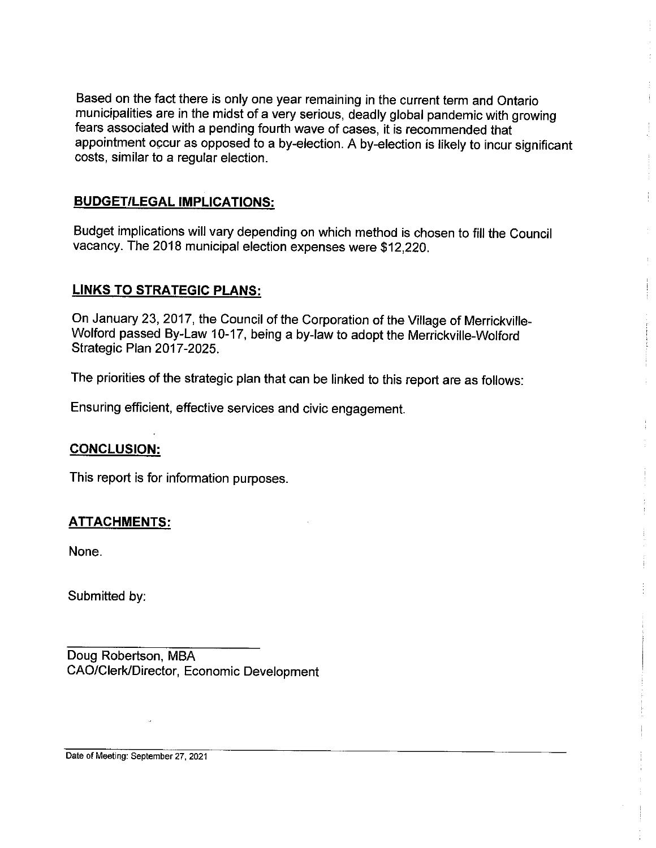Based on the fact there is only one year remaining in the current term and Ontario municipalities are in the midst of a very serious, deadly global pandemic with growing fears associated with a pending fourth wave of cases, it is recommended that appointment occur as opposed to a by-election. A by-election is likely to incur significant costs, similar to a regular election.

### **BUDGET/LEGAL IMPLICATIONS:**

Budget implications will vary depending on which method is chosen to fill the Council vacancy. The 2018 municipal election expenses were \$12,220.

### **LINKS TO STRATEGIC PLANS:**

On January 23, 2017, the Council of the Corporation of the Village of Merrickville-Wolford passed By-Law 10-17, being a by-law to adopt the Merrickville-Wolford Strategic Plan 2017-2025.

The priorities of the strategic plan that can be linked to this report are as follows:

Ensuring efficient, effective services and civic engagement.

### **CONCLUSION:**

This report is for information purposes.

## <u>ATTACHMENTS:</u>

None.

Submitted by:

Doug Robertson, MBA CAO/Clerk/Director, Economic Development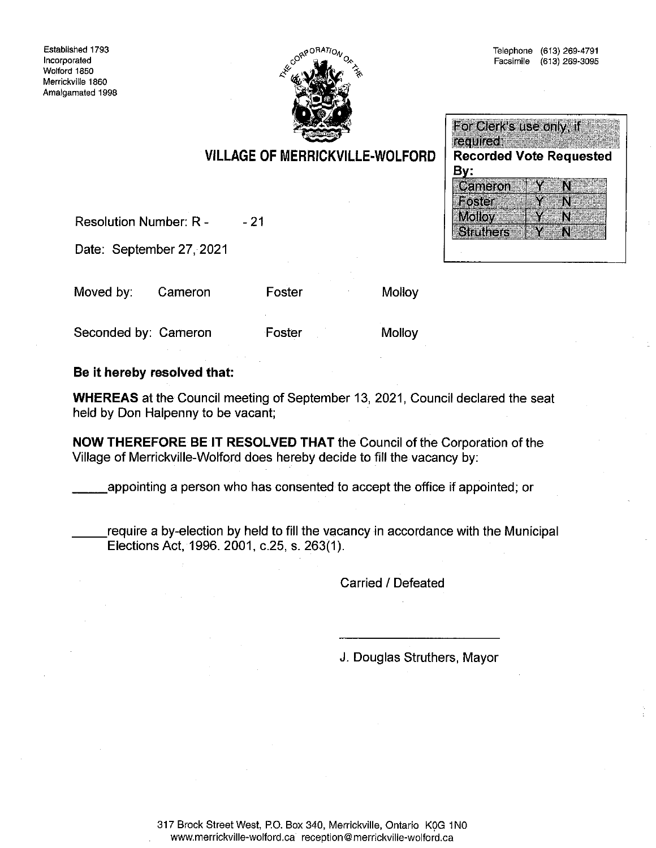

### For Clerk's use only, if required. **Recorded Vote Requested** By: Cameron M Foster Y N **Molloy** Y N **Struthers** M

Foster

Foster

**Resolution Number: R -** $-21$ 

Date: September 27, 2021

Moved by: Cameron

Seconded by: Cameron

Molloy

**Molloy** 

### Be it hereby resolved that:

**WHEREAS** at the Council meeting of September 13, 2021, Council declared the seat held by Don Halpenny to be vacant;

NOW THEREFORE BE IT RESOLVED THAT the Council of the Corporation of the Village of Merrickville-Wolford does hereby decide to fill the vacancy by:

appointing a person who has consented to accept the office if appointed; or

require a by-election by held to fill the vacancy in accordance with the Municipal Elections Act, 1996. 2001, c.25, s. 263(1).

Carried / Defeated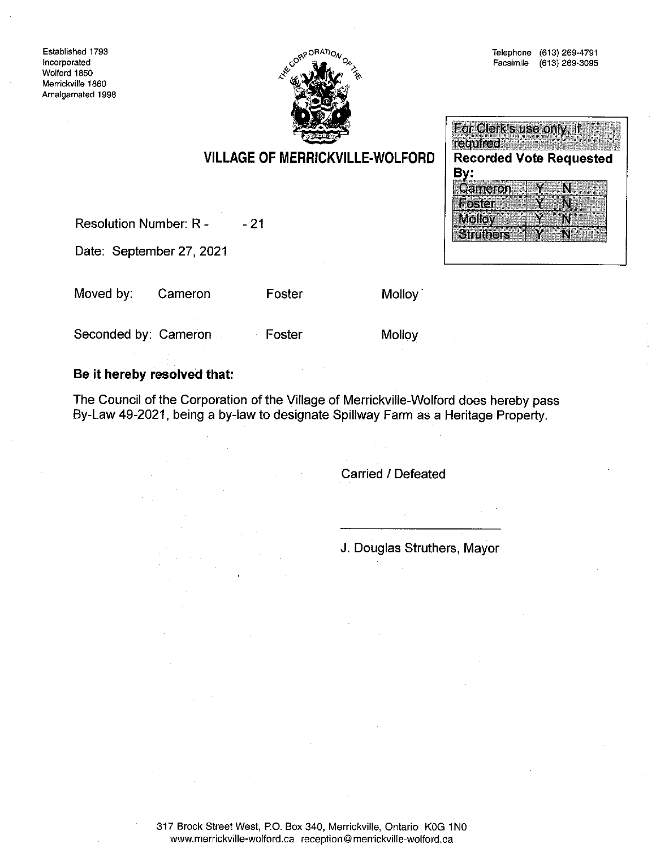



|                  | For Clerk's use only, if       |    |  |
|------------------|--------------------------------|----|--|
| required:        |                                |    |  |
|                  | <b>Recorded Vote Requested</b> |    |  |
| By:              |                                |    |  |
| Cameron          |                                | A. |  |
| Foster           |                                |    |  |
| <b>Molloy</b>    |                                |    |  |
| <b>Struthers</b> |                                |    |  |

# **VILLAGE OF MERRICKVILLE-WOLFORD**

**Resolution Number: R -** $-21$ 

Date: September 27, 2021

Moved by: Cameron

Seconded by: Cameron

Foster

Foster

**Molloy** 

Molloy<sup>1</sup>

### Be it hereby resolved that:

The Council of the Corporation of the Village of Merrickville-Wolford does hereby pass By-Law 49-2021, being a by-law to designate Spillway Farm as a Heritage Property.

Carried / Defeated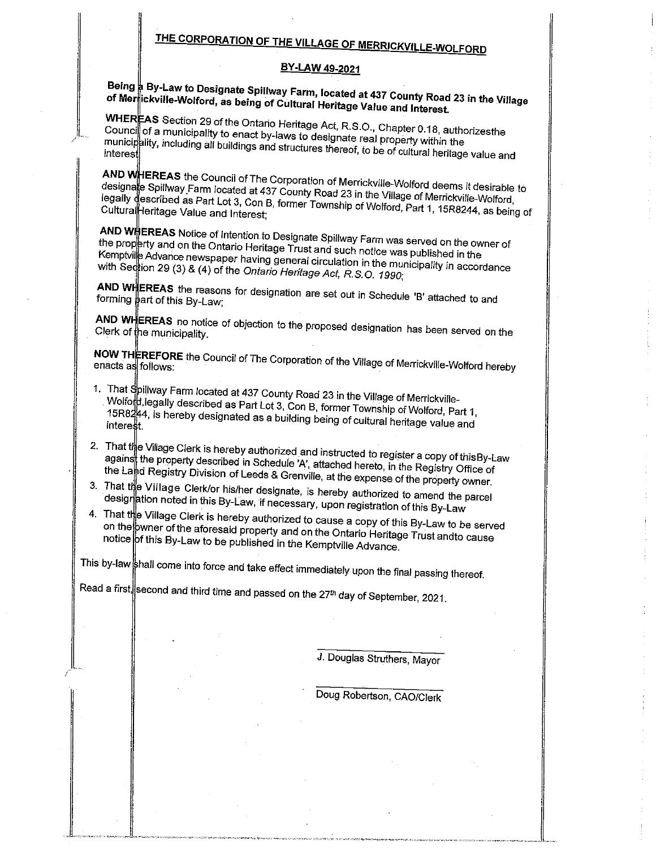# THE CORPORATION OF THE VILLAGE OF MERRICKVILLE-WOLFORD

### BY-LAW 49-2021

# Being  $\frac{1}{R}$  By-Law to Designate Spillway Farm, located at 437 County Road 23 in the Village of Merrickville-Wolford, as being of Cultural Heritage Value and Interest.

WHEREAS Section 29 of the Ontario Heritage Act, R.S.O., Chapter 0.18, authorizesthe Council of a municipality to enact by-laws to designate real property within the municipality, including all buildings and structures thereof, to be of cultural heritage value and

AND WHEREAS the Council of The Corporation of Merrickville-Wolford deems it desirable to designate Spillway Farm located at 437 County Road 23 in the Village of Merrickville-Wolford, legally described as Part Lot 3, Con B, former Township of Wolford, Part 1, 15R8244, as being of Cultural Heritage Value and Interest;

AND WHEREAS Notice of Intention to Designate Spillway Farm was served on the owner of the property and on the Ontario Heritage Trust and such notice was published in the Kemptville Advance newspaper having general circulation in the municipality in accordance with Seqtion 29 (3) & (4) of the Ontario Heritage Act, R.S.O. 1990;

AND WHEREAS the reasons for designation are set out in Schedule 'B' attached to and forming part of this By-Law;

AND WHEREAS no notice of objection to the proposed designation has been served on the Clerk of the municipality.

NOW THEREFORE the Council of The Corporation of the Village of Merrickville-Wolford hereby

- 1. That Spillway Farm located at 437 County Road 23 in the Village of Merrickville-Wolford, legally described as Part Lot 3, Con B, former Township of Wolford, Part 1, 15R8244, is hereby designated as a building being of cultural heritage value and interest.
- 2. That the Village Clerk is hereby authorized and instructed to register a copy of this By-Law agains the property described in Schedule 'A', attached hereto, in the Registry Office of the Land Registry Division of Leeds & Grenville, at the expense of the property owner.
- 3. That the Village Clerk/or his/her designate, is hereby authorized to amend the parcel designation noted in this By-Law, if necessary, upon registration of this By-Law
- 4. That the Village Clerk is hereby authorized to cause a copy of this By-Law to be served on the bwner of the aforesaid property and on the Ontario Heritage Trust andto cause notice of this By-Law to be published in the Kemptville Advance.

This by-law shall come into force and take effect immediately upon the final passing thereof.

Read a first, second and third time and passed on the 27<sup>th</sup> day of September, 2021.

J. Douglas Struthers, Mayor

Doug Robertson, CAO/Clerk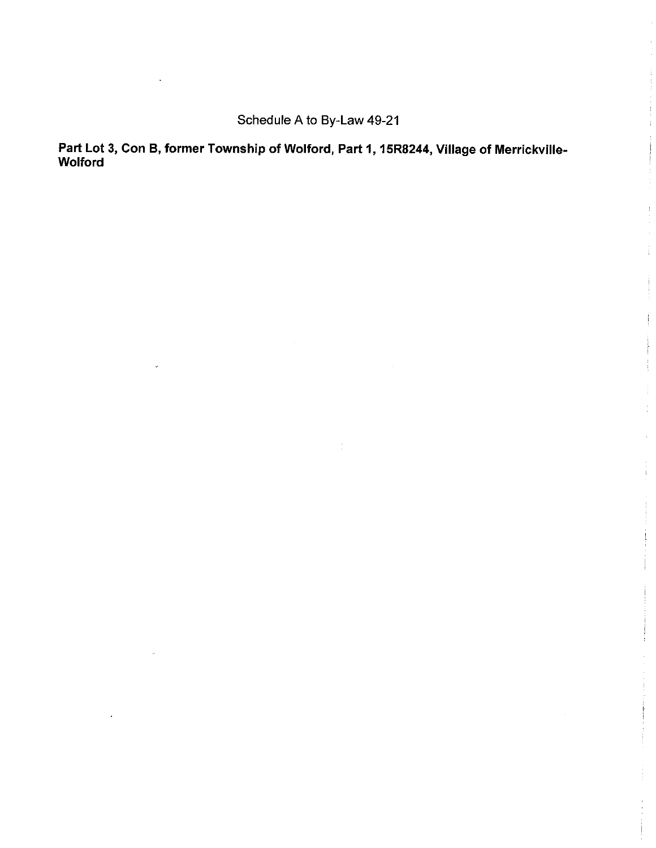Schedule A to By-Law 49-21

Part Lot 3, Con B, former Township of Wolford, Part 1, 15R8244, Village of Merrickville-Wolford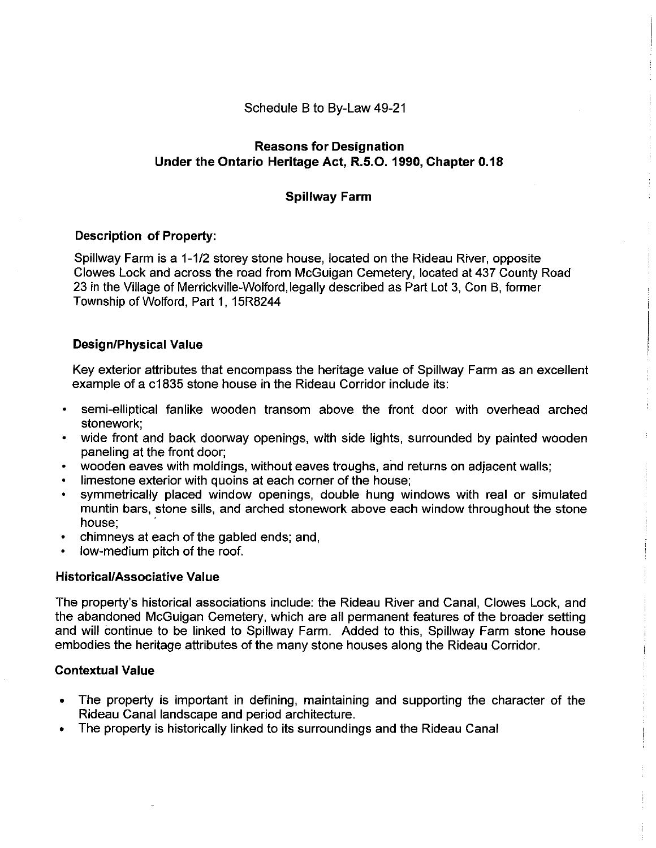Schedule B to By-Law 49-21

### **Reasons for Designation** Under the Ontario Heritage Act, R.5.O. 1990, Chapter 0.18

### **Spillway Farm**

### **Description of Property:**

Spillway Farm is a 1-1/2 storey stone house, located on the Rideau River, opposite Clowes Lock and across the road from McGuigan Cemetery, located at 437 County Road 23 in the Village of Merrickville-Wolford, legally described as Part Lot 3, Con B, former Township of Wolford, Part 1, 15R8244

### **Design/Physical Value**

Key exterior attributes that encompass the heritage value of Spillway Farm as an excellent example of a c1835 stone house in the Rideau Corridor include its:

- semi-elliptical fanlike wooden transom above the front door with overhead arched stonework:
- wide front and back doorway openings, with side lights, surrounded by painted wooden paneling at the front door;
- wooden eaves with moldings, without eaves troughs, and returns on adjacent walls;
- limestone exterior with quoins at each corner of the house;
- symmetrically placed window openings, double hung windows with real or simulated muntin bars, stone sills, and arched stonework above each window throughout the stone house:
- chimneys at each of the gabled ends; and,
- low-medium pitch of the roof.

### **Historical/Associative Value**

The property's historical associations include: the Rideau River and Canal, Clowes Lock, and the abandoned McGuigan Cemetery, which are all permanent features of the broader setting and will continue to be linked to Spillway Farm. Added to this, Spillway Farm stone house embodies the heritage attributes of the many stone houses along the Rideau Corridor.

### **Contextual Value**

- The property is important in defining, maintaining and supporting the character of the  $\bullet$ Rideau Canal landscape and period architecture.
- The property is historically linked to its surroundings and the Rideau Canal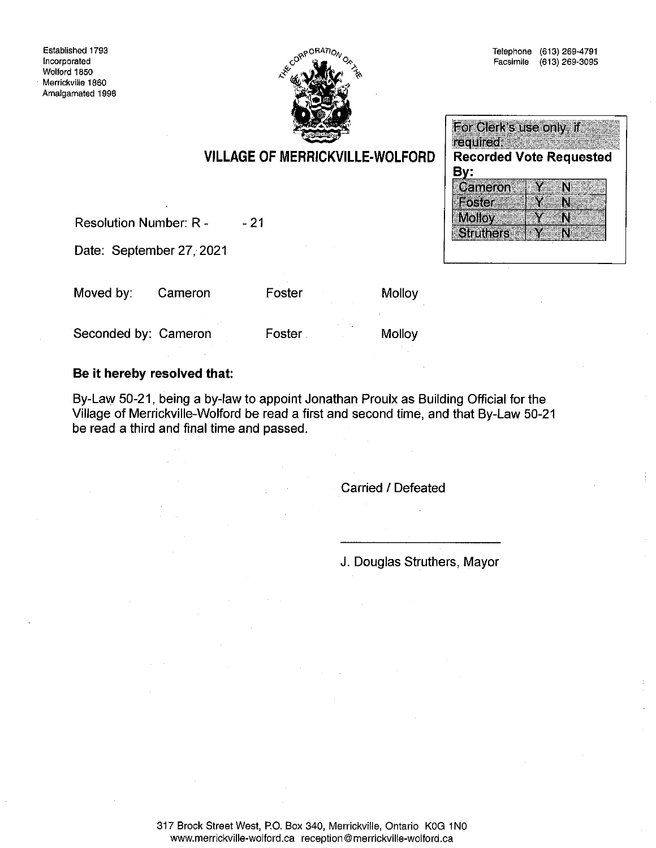

 $\mathbf Y$ 

N

N

#### For Clerk's use only, if required: Service and the **VILLAGE OF MERRICKVILLE-WOLFORD Recorded Vote Requested** By: Cameron ¥ N **Foster** Y Ñ

**Molloy** 

**Struthers** 

Resolution Number: R - $-21$ 

Date: September 27, 2021

Moved by: Cameron Foster

**Molloy** 

Seconded by: Cameron

Foster

Molloy

### Be it hereby resolved that:

By-Law 50-21, being a by-law to appoint Jonathan Proulx as Building Official for the Village of Merrickville-Wolford be read a first and second time, and that By-Law 50-21 be read a third and final time and passed.

Carried / Defeated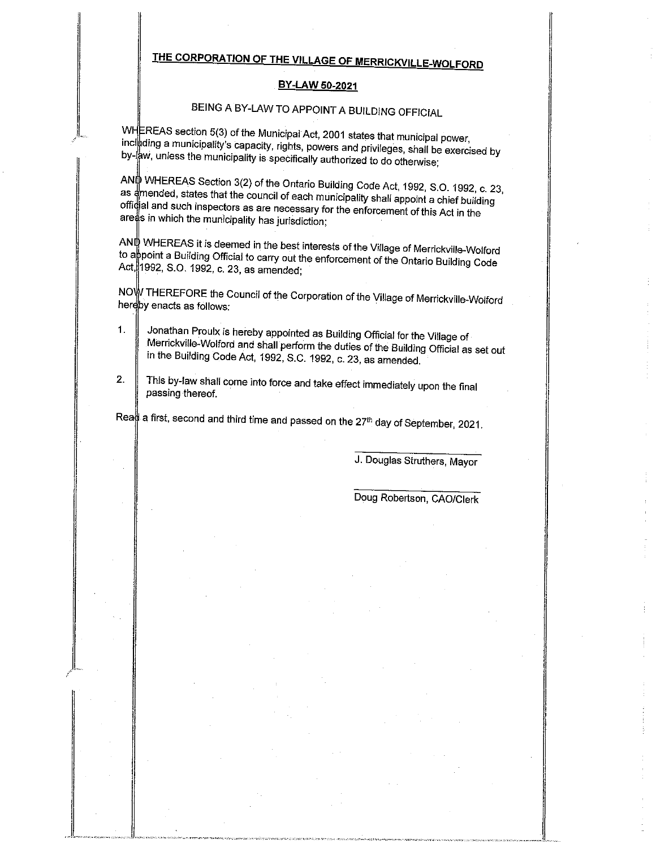# THE CORPORATION OF THE VILLAGE OF MERRICKVILLE-WOLFORD

### BY-LAW 50-2021

# BEING A BY-LAW TO APPOINT A BUILDING OFFICIAL

WHEREAS section 5(3) of the Municipal Act, 2001 states that municipal power, including a municipality's capacity, rights, powers and privileges, shall be exercised by by  $\frac{1}{2}$ w, unless the municipality is specifically authorized to do otherwise;

ANN WHEREAS Section 3(2) of the Ontario Building Code Act, 1992, S.O. 1992, c. 23, as amended, states that the council of each municipality shall appoint a chief building official and such inspectors as are necessary for the enforcement of this Act in the areas in which the municipality has jurisdiction;

ANL WHEREAS it is deemed in the best interests of the Village of Merrickville-Wolford to appoint a Building Official to carry out the enforcement of the Ontario Building Code Act, 1992, S.O. 1992, c. 23, as amended;

NOW THEREFORE the Council of the Corporation of the Village of Merrickville-Wolford hereby enacts as follows:

- Jonathan Proulx is hereby appointed as Building Official for the Village of  $1.$ Merrickville-Wolford and shall perform the duties of the Building Official as set out in the Building Code Act, 1992, S.C. 1992, c. 23, as amended.
- This by-law shall come into force and take effect immediately upon the final  $2.$ passing thereof.

Rea $\frac{1}{9}$  a first, second and third time and passed on the 27<sup>th</sup> day of September, 2021.

J. Douglas Struthers, Mayor

Doug Robertson, CAO/Clerk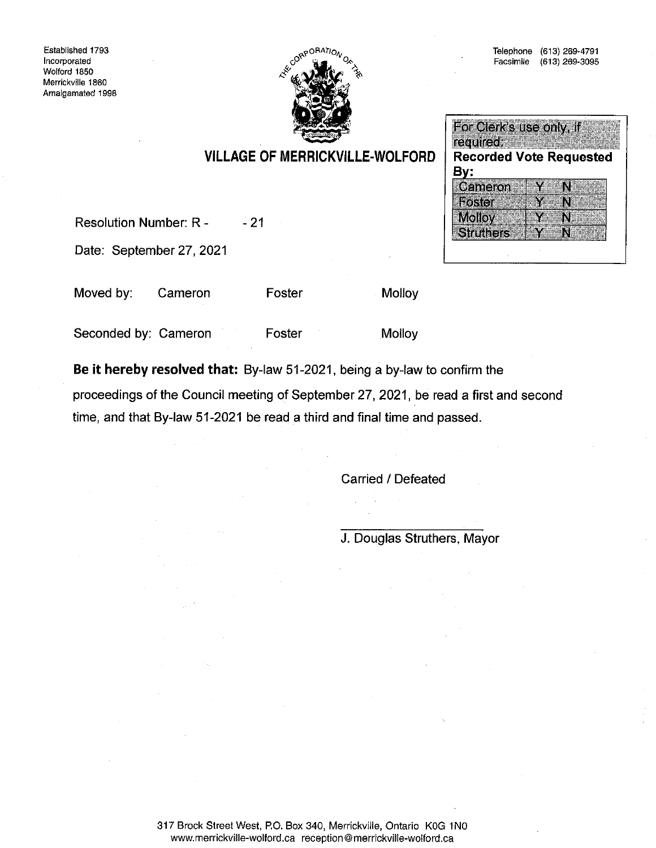Established 1793 Incorporated Wolford 1850 Merrickville 1860 Amalgamated 1998



### For Clerk's use only, if required; **Recorded Vote Requested** By: Cameron Y N. Foster Y N **Molloy** Y N **Struthers** N

# **VILLAGE OF MERRICKVILLE-WOLFORD**

Resolution Number: R - $-21$ 

Date: September 27, 2021

Moved by: Cameron Foster Molloy

Seconded by: Cameron Foster Molloy

Be it hereby resolved that: By-law 51-2021, being a by-law to confirm the

proceedings of the Council meeting of September 27, 2021, be read a first and second time, and that By-law 51-2021 be read a third and final time and passed.

Carried / Defeated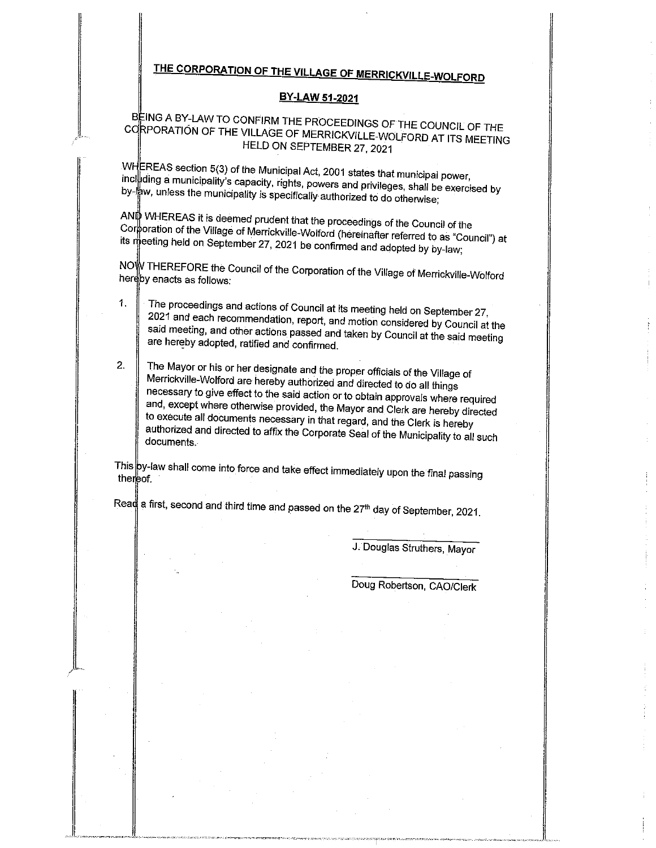# THE CORPORATION OF THE VILLAGE OF MERRICKVILLE-WOLFORD

### BY-LAW 51-2021

### BEING A BY-LAW TO CONFIRM THE PROCEEDINGS OF THE COUNCIL OF THE CORPORATION OF THE VILLAGE OF MERRICKVILLE-WOLFORD AT ITS MEETING HELD ON SEPTEMBER 27, 2021

WHEREAS section 5(3) of the Municipal Act, 2001 states that municipal power, including a municipality's capacity, rights, powers and privileges, shall be exercised by by  $\frac{1}{R}$ w, unless the municipality is specifically authorized to do otherwise;

ANO WHEREAS it is deemed prudent that the proceedings of the Council of the Corporation of the Village of Merrickville-Wolford (hereinafter referred to as "Council") at its meeting held on September 27, 2021 be confirmed and adopted by by-law;

NOW THEREFORE the Council of the Corporation of the Village of Merrickville-Wolford hereby enacts as follows:

- The proceedings and actions of Council at its meeting held on September 27,  $1<sub>1</sub>$ 2021 and each recommendation, report, and motion considered by Council at the said meeting, and other actions passed and taken by Council at the said meeting are hereby adopted, ratified and confirmed.
- $2.$ The Mayor or his or her designate and the proper officials of the Village of Merrickville-Wolford are hereby authorized and directed to do all things necessary to give effect to the said action or to obtain approvals where required and, except where otherwise provided, the Mayor and Clerk are hereby directed to execute all documents necessary in that regard, and the Clerk is hereby authorized and directed to affix the Corporate Seal of the Municipality to all such documents.

This py-law shall come into force and take effect immediately upon the final passing thereof.

Read a first, second and third time and passed on the 27<sup>th</sup> day of September, 2021.

J. Douglas Struthers, Mayor

Doug Robertson, CAO/Clerk